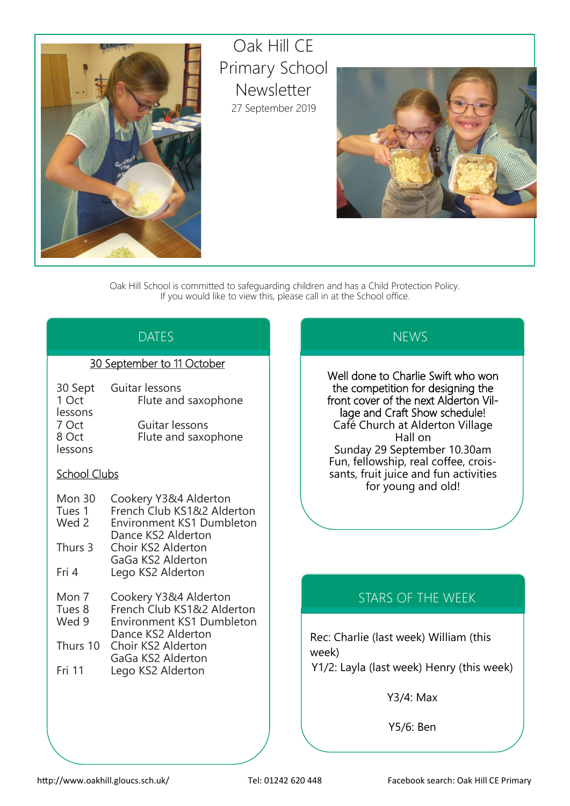

Oak Hill CE Primary School Newsletter 27 September 2019



Oak Hill School is committed to safeguarding children and has a Child Protection Policy. If you would like to view this, please call in at the School office.

## DATES

### 30 September to 11 October

| 30 Sept<br>1 Oct | Guitar lessons<br>Flute and saxophone |
|------------------|---------------------------------------|
| lessons          |                                       |
| 7 Oct            | Guitar lessons                        |
| 8 Oct            | Flute and saxophone                   |
| lessons          |                                       |

### School Clubs

| Mon 30 | Cookery Y3&4 Alderton |
|--------|-----------------------|
|--------|-----------------------|

Tues 1 French Club KS1&2 Alderton<br>Wed 2 Fnvironment KS1 Dumbleton

- Environment KS1 Dumbleton Dance KS2 Alderton Thurs 3 Choir KS2 Alderton
- GaGa KS2 Alderton Fri 4 Lego KS2 Alderton
- Mon 7 Cookery Y3&4 Alderton
- Tues 8 French Club KS1&2 Alderton
- Wed 9 Environment KS1 Dumbleton Dance KS2 Alderton Thurs 10 Choir KS2 Alderton
- GaGa KS2 Alderton Fri 11 Lego KS2 Alderton

## **NEWS**

Well done to Charlie Swift who won the competition for designing the front cover of the next Alderton Village and Craft Show schedule! Café Church at Alderton Village Hall on Sunday 29 September 10.30am Fun, fellowship, real coffee, croissants, fruit juice and fun activities for young and old!

# STARS OF THE WEEK

Rec: Charlie (last week) William (this week) Y1/2: Layla (last week) Henry (this week)

Y3/4: Max

Y5/6: Ben